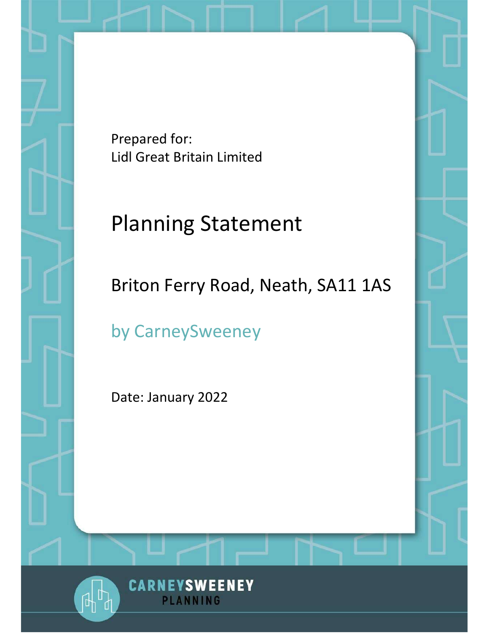Prepared for: Lidl Great Britain Limited

# Planning Statement

Briton Ferry Road, Neath, SA11 1AS

by CarneySweeney

Date: January 2022

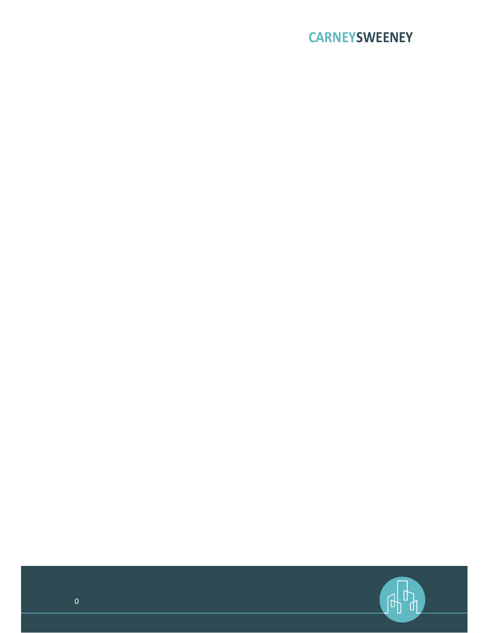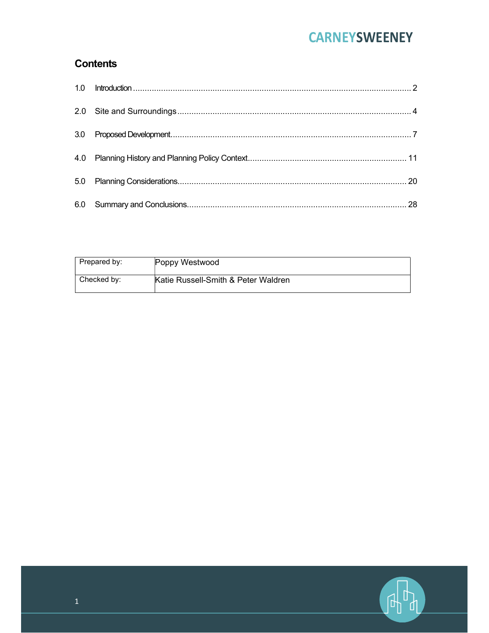### **Contents**

| Prepared by: | Poppy Westwood                      |
|--------------|-------------------------------------|
| Checked by:  | Katie Russell-Smith & Peter Waldren |

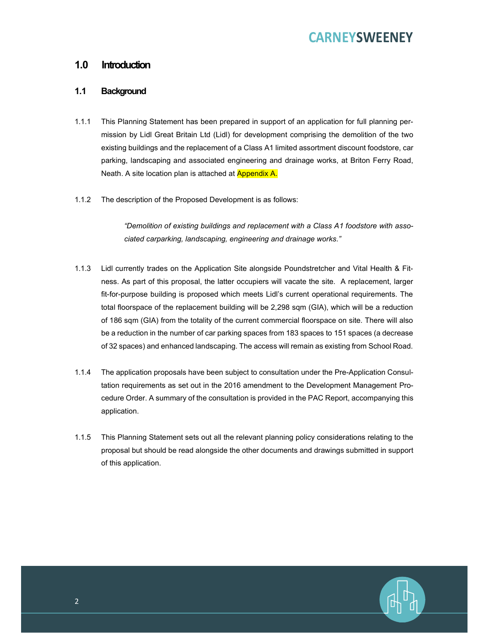### 1.0 Introduction

### 1.1 Background

- 1.1.1 This Planning Statement has been prepared in support of an application for full planning permission by Lidl Great Britain Ltd (Lidl) for development comprising the demolition of the two existing buildings and the replacement of a Class A1 limited assortment discount foodstore, car parking, landscaping and associated engineering and drainage works, at Briton Ferry Road, Neath. A site location plan is attached at Appendix A.
- 1.1.2 The description of the Proposed Development is as follows:

"Demolition of existing buildings and replacement with a Class A1 foodstore with associated carparking, landscaping, engineering and drainage works."

- 1.1.3 Lidl currently trades on the Application Site alongside Poundstretcher and Vital Health & Fitness. As part of this proposal, the latter occupiers will vacate the site. A replacement, larger fit-for-purpose building is proposed which meets Lidl's current operational requirements. The total floorspace of the replacement building will be 2,298 sqm (GIA), which will be a reduction of 186 sqm (GIA) from the totality of the current commercial floorspace on site. There will also be a reduction in the number of car parking spaces from 183 spaces to 151 spaces (a decrease of 32 spaces) and enhanced landscaping. The access will remain as existing from School Road.
- 1.1.4 The application proposals have been subject to consultation under the Pre-Application Consultation requirements as set out in the 2016 amendment to the Development Management Procedure Order. A summary of the consultation is provided in the PAC Report, accompanying this application.
- 1.1.5 This Planning Statement sets out all the relevant planning policy considerations relating to the proposal but should be read alongside the other documents and drawings submitted in support of this application.

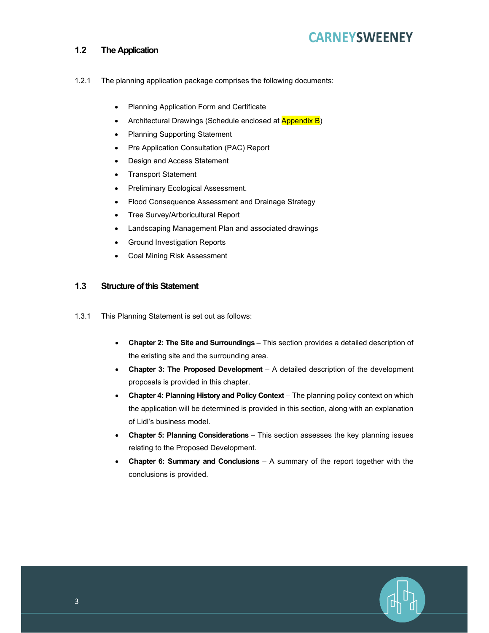### 1.2 The Application

- 1.2.1 The planning application package comprises the following documents:
	- Planning Application Form and Certificate
	- Architectural Drawings (Schedule enclosed at Appendix B)
	- Planning Supporting Statement
	- Pre Application Consultation (PAC) Report
	- Design and Access Statement
	- Transport Statement
	- Preliminary Ecological Assessment.
	- Flood Consequence Assessment and Drainage Strategy
	- Tree Survey/Arboricultural Report
	- Landscaping Management Plan and associated drawings
	- Ground Investigation Reports
	- Coal Mining Risk Assessment

### 1.3 Structure of this Statement

- 1.3.1 This Planning Statement is set out as follows:
	- Chapter 2: The Site and Surroundings This section provides a detailed description of the existing site and the surrounding area.
	- Chapter 3: The Proposed Development A detailed description of the development proposals is provided in this chapter.
	- Chapter 4: Planning History and Policy Context The planning policy context on which the application will be determined is provided in this section, along with an explanation of Lidl's business model.
	- Chapter 5: Planning Considerations This section assesses the key planning issues relating to the Proposed Development.
	- Chapter 6: Summary and Conclusions A summary of the report together with the conclusions is provided.

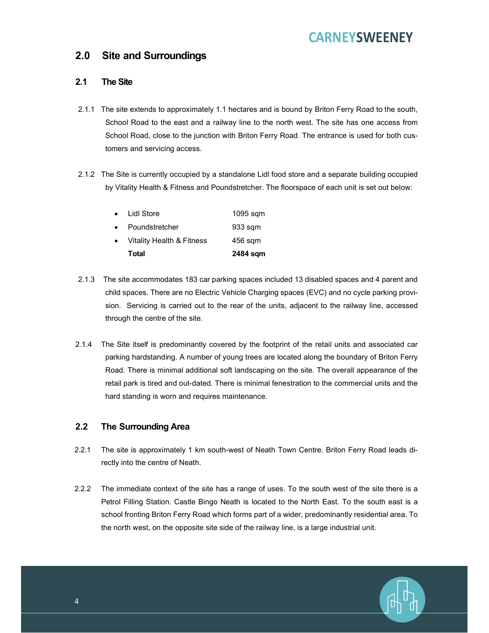### 2.0 Site and Surroundings

### 2.1 The Site

- 2.1.1 The site extends to approximately 1.1 hectares and is bound by Briton Ferry Road to the south, School Road to the east and a railway line to the north west. The site has one access from School Road, close to the junction with Briton Ferry Road. The entrance is used for both customers and servicing access.
- 2.1.2 The Site is currently occupied by a standalone Lidl food store and a separate building occupied by Vitality Health & Fitness and Poundstretcher. The floorspace of each unit is set out below:

|           | Total                     | 2484 sqm |
|-----------|---------------------------|----------|
|           | Vitality Health & Fitness | 456 sqm  |
|           | Poundstretcher            | 933 sqm  |
| $\bullet$ | Lidl Store                | 1095 sqm |

- 2.1.3 The site accommodates 183 car parking spaces included 13 disabled spaces and 4 parent and child spaces. There are no Electric Vehicle Charging spaces (EVC) and no cycle parking provision. Servicing is carried out to the rear of the units, adjacent to the railway line, accessed through the centre of the site.
- 2.1.4 The Site itself is predominantly covered by the footprint of the retail units and associated car parking hardstanding. A number of young trees are located along the boundary of Briton Ferry Road. There is minimal additional soft landscaping on the site. The overall appearance of the retail park is tired and out-dated. There is minimal fenestration to the commercial units and the hard standing is worn and requires maintenance.

### 2.2 The Surrounding Area

- 2.2.1 The site is approximately 1 km south-west of Neath Town Centre. Briton Ferry Road leads directly into the centre of Neath.
- 2.2.2 The immediate context of the site has a range of uses. To the south west of the site there is a Petrol Filling Station. Castle Bingo Neath is located to the North East. To the south east is a school fronting Briton Ferry Road which forms part of a wider, predominantly residential area. To the north west, on the opposite site side of the railway line, is a large industrial unit.



 $\overline{a}$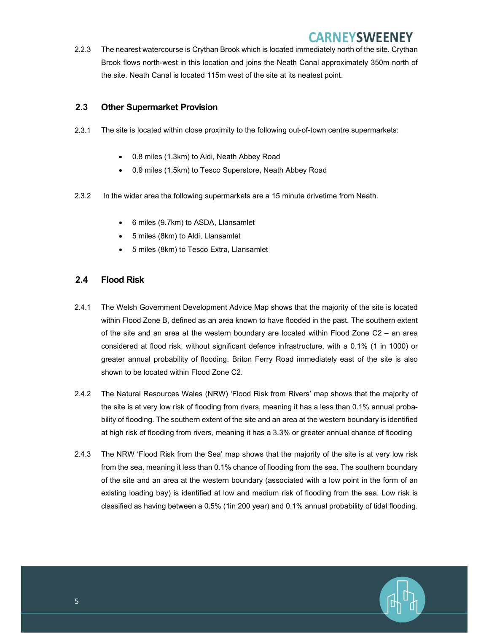2.2.3 The nearest watercourse is Crythan Brook which is located immediately north of the site. Crythan Brook flows north-west in this location and joins the Neath Canal approximately 350m north of the site. Neath Canal is located 115m west of the site at its neatest point.

### 2.3 Other Supermarket Provision

- 2.3.1 The site is located within close proximity to the following out-of-town centre supermarkets:
	- 0.8 miles (1.3km) to Aldi, Neath Abbey Road
	- 0.9 miles (1.5km) to Tesco Superstore, Neath Abbey Road
- 2.3.2 In the wider area the following supermarkets are a 15 minute drivetime from Neath.
	- 6 miles (9.7km) to ASDA, Llansamlet
	- 5 miles (8km) to Aldi, Llansamlet
	- 5 miles (8km) to Tesco Extra, Llansamlet

#### 2.4 Flood Risk

- 2.4.1 The Welsh Government Development Advice Map shows that the majority of the site is located within Flood Zone B, defined as an area known to have flooded in the past. The southern extent of the site and an area at the western boundary are located within Flood Zone C2 – an area considered at flood risk, without significant defence infrastructure, with a 0.1% (1 in 1000) or greater annual probability of flooding. Briton Ferry Road immediately east of the site is also shown to be located within Flood Zone C2.
- 2.4.2 The Natural Resources Wales (NRW) 'Flood Risk from Rivers' map shows that the majority of the site is at very low risk of flooding from rivers, meaning it has a less than 0.1% annual probability of flooding. The southern extent of the site and an area at the western boundary is identified at high risk of flooding from rivers, meaning it has a 3.3% or greater annual chance of flooding
- 2.4.3 The NRW 'Flood Risk from the Sea' map shows that the majority of the site is at very low risk from the sea, meaning it less than 0.1% chance of flooding from the sea. The southern boundary of the site and an area at the western boundary (associated with a low point in the form of an existing loading bay) is identified at low and medium risk of flooding from the sea. Low risk is classified as having between a 0.5% (1in 200 year) and 0.1% annual probability of tidal flooding.

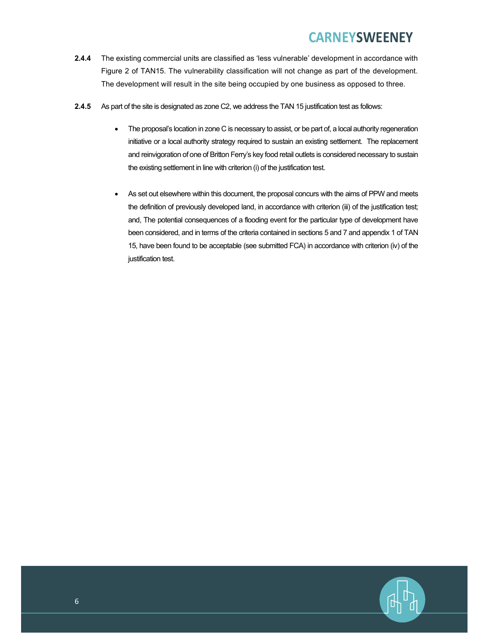- 2.4.4 The existing commercial units are classified as 'less vulnerable' development in accordance with Figure 2 of TAN15. The vulnerability classification will not change as part of the development. The development will result in the site being occupied by one business as opposed to three.
- 2.4.5 As part of the site is designated as zone C2, we address the TAN 15 justification test as follows:
	- The proposal's location in zone C is necessary to assist, or be part of, a local authority regeneration initiative or a local authority strategy required to sustain an existing settlement. The replacement and reinvigoration of one of Britton Ferry's key food retail outlets is considered necessary to sustain the existing settlement in line with criterion (i) of the justification test.
	- As set out elsewhere within this document, the proposal concurs with the aims of PPW and meets the definition of previously developed land, in accordance with criterion (iii) of the justification test; and, The potential consequences of a flooding event for the particular type of development have been considered, and in terms of the criteria contained in sections 5 and 7 and appendix 1 of TAN 15, have been found to be acceptable (see submitted FCA) in accordance with criterion (iv) of the justification test.

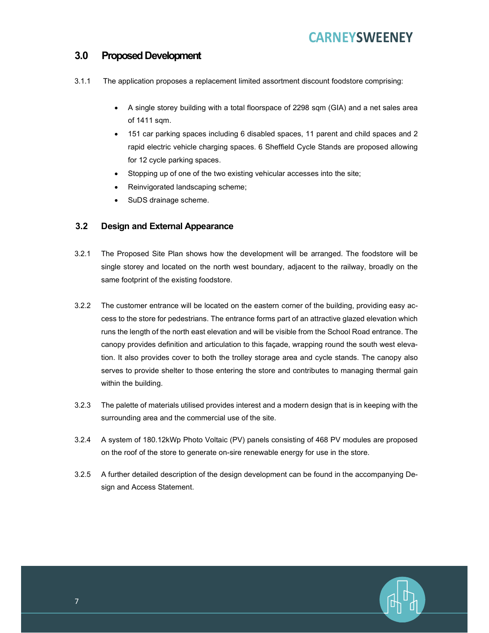### 3.0 Proposed Development

- 3.1.1 The application proposes a replacement limited assortment discount foodstore comprising:
	- A single storey building with a total floorspace of 2298 sqm (GIA) and a net sales area of 1411 sqm.
	- 151 car parking spaces including 6 disabled spaces, 11 parent and child spaces and 2 rapid electric vehicle charging spaces. 6 Sheffield Cycle Stands are proposed allowing for 12 cycle parking spaces.
	- Stopping up of one of the two existing vehicular accesses into the site;
	- Reinvigorated landscaping scheme;
	- SuDS drainage scheme.

### 3.2 Design and External Appearance

- 3.2.1 The Proposed Site Plan shows how the development will be arranged. The foodstore will be single storey and located on the north west boundary, adjacent to the railway, broadly on the same footprint of the existing foodstore.
- 3.2.2 The customer entrance will be located on the eastern corner of the building, providing easy access to the store for pedestrians. The entrance forms part of an attractive glazed elevation which runs the length of the north east elevation and will be visible from the School Road entrance. The canopy provides definition and articulation to this façade, wrapping round the south west elevation. It also provides cover to both the trolley storage area and cycle stands. The canopy also serves to provide shelter to those entering the store and contributes to managing thermal gain within the building.
- 3.2.3 The palette of materials utilised provides interest and a modern design that is in keeping with the surrounding area and the commercial use of the site.
- 3.2.4 A system of 180.12kWp Photo Voltaic (PV) panels consisting of 468 PV modules are proposed on the roof of the store to generate on-sire renewable energy for use in the store.
- 3.2.5 A further detailed description of the design development can be found in the accompanying Design and Access Statement.

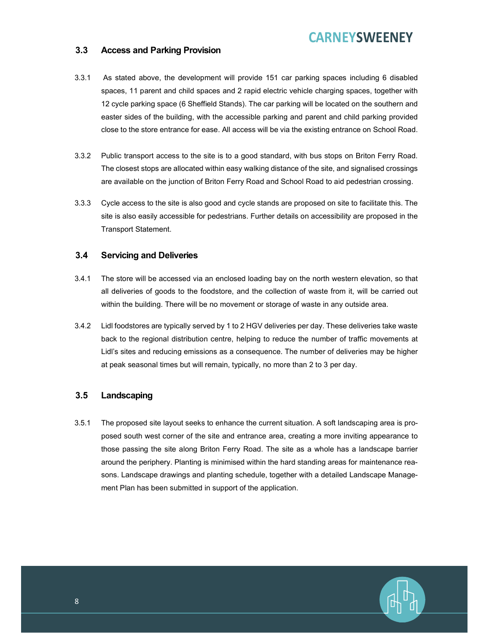### 3.3 Access and Parking Provision

- 3.3.1 As stated above, the development will provide 151 car parking spaces including 6 disabled spaces, 11 parent and child spaces and 2 rapid electric vehicle charging spaces, together with 12 cycle parking space (6 Sheffield Stands). The car parking will be located on the southern and easter sides of the building, with the accessible parking and parent and child parking provided close to the store entrance for ease. All access will be via the existing entrance on School Road.
- 3.3.2 Public transport access to the site is to a good standard, with bus stops on Briton Ferry Road. The closest stops are allocated within easy walking distance of the site, and signalised crossings are available on the junction of Briton Ferry Road and School Road to aid pedestrian crossing.
- 3.3.3 Cycle access to the site is also good and cycle stands are proposed on site to facilitate this. The site is also easily accessible for pedestrians. Further details on accessibility are proposed in the Transport Statement.

#### 3.4 Servicing and Deliveries

- 3.4.1 The store will be accessed via an enclosed loading bay on the north western elevation, so that all deliveries of goods to the foodstore, and the collection of waste from it, will be carried out within the building. There will be no movement or storage of waste in any outside area.
- 3.4.2 Lidl foodstores are typically served by 1 to 2 HGV deliveries per day. These deliveries take waste back to the regional distribution centre, helping to reduce the number of traffic movements at Lidl's sites and reducing emissions as a consequence. The number of deliveries may be higher at peak seasonal times but will remain, typically, no more than 2 to 3 per day.

### 3.5 Landscaping

3.5.1 The proposed site layout seeks to enhance the current situation. A soft landscaping area is proposed south west corner of the site and entrance area, creating a more inviting appearance to those passing the site along Briton Ferry Road. The site as a whole has a landscape barrier around the periphery. Planting is minimised within the hard standing areas for maintenance reasons. Landscape drawings and planting schedule, together with a detailed Landscape Management Plan has been submitted in support of the application.

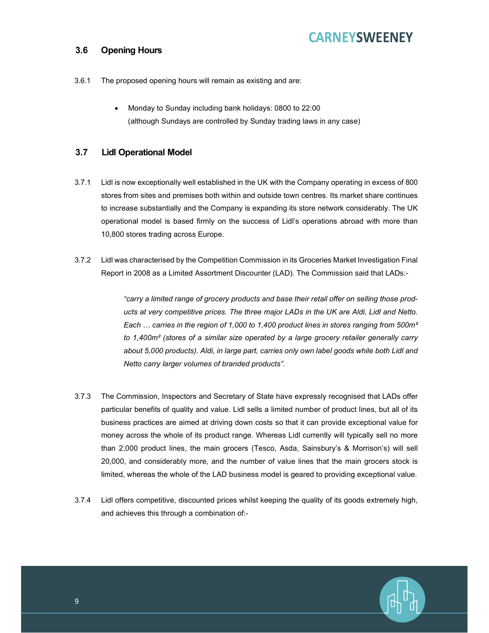#### 3.6 Opening Hours

- 3.6.1 The proposed opening hours will remain as existing and are:
	- Monday to Sunday including bank holidays: 0800 to 22:00 (although Sundays are controlled by Sunday trading laws in any case)

### 3.7 Lidl Operational Model

- 3.7.1 Lidl is now exceptionally well established in the UK with the Company operating in excess of 800 stores from sites and premises both within and outside town centres. Its market share continues to increase substantially and the Company is expanding its store network considerably. The UK operational model is based firmly on the success of Lidl's operations abroad with more than 10,800 stores trading across Europe.
- 3.7.2 Lidl was characterised by the Competition Commission in its Groceries Market Investigation Final Report in 2008 as a Limited Assortment Discounter (LAD). The Commission said that LADs:-

"carry a limited range of grocery products and base their retail offer on selling those products at very competitive prices. The three major LADs in the UK are Aldi, Lidl and Netto. Each  $\ldots$  carries in the region of 1,000 to 1,400 product lines in stores ranging from 500m<sup>2</sup> to 1,400m<sup>2</sup> (stores of a similar size operated by a large grocery retailer generally carry about 5,000 products). Aldi, in large part, carries only own label goods while both Lidl and Netto carry larger volumes of branded products".

- 3.7.3 The Commission, Inspectors and Secretary of State have expressly recognised that LADs offer particular benefits of quality and value. Lidl sells a limited number of product lines, but all of its business practices are aimed at driving down costs so that it can provide exceptional value for money across the whole of its product range. Whereas Lidl currently will typically sell no more than 2,000 product lines, the main grocers (Tesco, Asda, Sainsbury's & Morrison's) will sell 20,000, and considerably more, and the number of value lines that the main grocers stock is limited, whereas the whole of the LAD business model is geared to providing exceptional value.
- 3.7.4 Lidl offers competitive, discounted prices whilst keeping the quality of its goods extremely high, and achieves this through a combination of:-

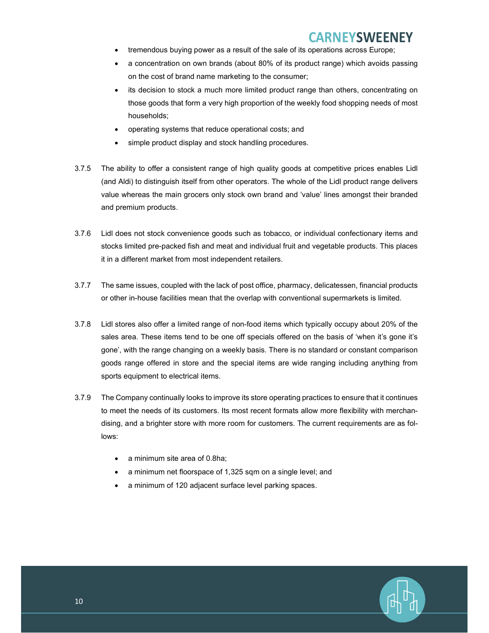- tremendous buying power as a result of the sale of its operations across Europe;
- a concentration on own brands (about 80% of its product range) which avoids passing on the cost of brand name marketing to the consumer;
- its decision to stock a much more limited product range than others, concentrating on those goods that form a very high proportion of the weekly food shopping needs of most households;
- operating systems that reduce operational costs; and
- simple product display and stock handling procedures.
- 3.7.5 The ability to offer a consistent range of high quality goods at competitive prices enables Lidl (and Aldi) to distinguish itself from other operators. The whole of the Lidl product range delivers value whereas the main grocers only stock own brand and 'value' lines amongst their branded and premium products.
- 3.7.6 Lidl does not stock convenience goods such as tobacco, or individual confectionary items and stocks limited pre-packed fish and meat and individual fruit and vegetable products. This places it in a different market from most independent retailers.
- 3.7.7 The same issues, coupled with the lack of post office, pharmacy, delicatessen, financial products or other in-house facilities mean that the overlap with conventional supermarkets is limited.
- 3.7.8 Lidl stores also offer a limited range of non-food items which typically occupy about 20% of the sales area. These items tend to be one off specials offered on the basis of 'when it's gone it's gone', with the range changing on a weekly basis. There is no standard or constant comparison goods range offered in store and the special items are wide ranging including anything from sports equipment to electrical items.
- 3.7.9 The Company continually looks to improve its store operating practices to ensure that it continues to meet the needs of its customers. Its most recent formats allow more flexibility with merchandising, and a brighter store with more room for customers. The current requirements are as follows:
	- a minimum site area of 0.8ha;
	- a minimum net floorspace of 1,325 sqm on a single level; and
	- a minimum of 120 adjacent surface level parking spaces.

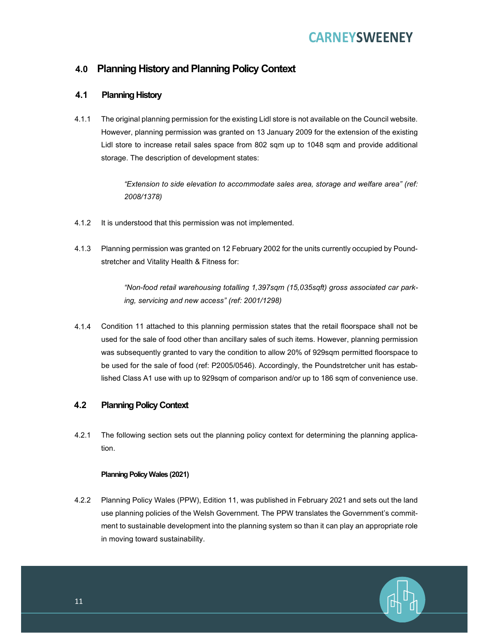### 4.0 Planning History and Planning Policy Context

### 4.1 Planning History

4.1.1 The original planning permission for the existing Lidl store is not available on the Council website. However, planning permission was granted on 13 January 2009 for the extension of the existing Lidl store to increase retail sales space from 802 sqm up to 1048 sqm and provide additional storage. The description of development states:

> "Extension to side elevation to accommodate sales area, storage and welfare area" (ref: 2008/1378)

- 4.1.2 It is understood that this permission was not implemented.
- 4.1.3 Planning permission was granted on 12 February 2002 for the units currently occupied by Poundstretcher and Vitality Health & Fitness for:

"Non-food retail warehousing totalling 1,397sqm (15,035sqft) gross associated car parking, servicing and new access" (ref: 2001/1298)

4.1.4 Condition 11 attached to this planning permission states that the retail floorspace shall not be used for the sale of food other than ancillary sales of such items. However, planning permission was subsequently granted to vary the condition to allow 20% of 929sqm permitted floorspace to be used for the sale of food (ref: P2005/0546). Accordingly, the Poundstretcher unit has established Class A1 use with up to 929sqm of comparison and/or up to 186 sqm of convenience use.

### 4.2 Planning Policy Context

4.2.1 The following section sets out the planning policy context for determining the planning application.

#### Planning Policy Wales (2021)

4.2.2 Planning Policy Wales (PPW), Edition 11, was published in February 2021 and sets out the land use planning policies of the Welsh Government. The PPW translates the Government's commitment to sustainable development into the planning system so than it can play an appropriate role in moving toward sustainability.

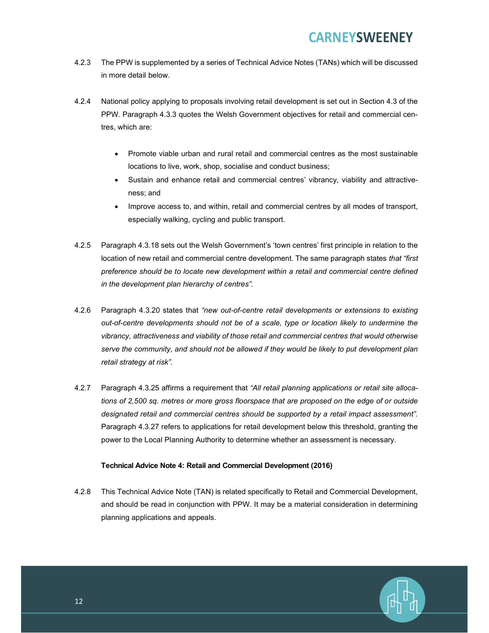- 4.2.3 The PPW is supplemented by a series of Technical Advice Notes (TANs) which will be discussed in more detail below.
- 4.2.4 National policy applying to proposals involving retail development is set out in Section 4.3 of the PPW. Paragraph 4.3.3 quotes the Welsh Government objectives for retail and commercial centres, which are:
	- Promote viable urban and rural retail and commercial centres as the most sustainable locations to live, work, shop, socialise and conduct business;
	- Sustain and enhance retail and commercial centres' vibrancy, viability and attractiveness; and
	- Improve access to, and within, retail and commercial centres by all modes of transport, especially walking, cycling and public transport.
- 4.2.5 Paragraph 4.3.18 sets out the Welsh Government's 'town centres' first principle in relation to the location of new retail and commercial centre development. The same paragraph states that "first preference should be to locate new development within a retail and commercial centre defined in the development plan hierarchy of centres".
- 4.2.6 Paragraph 4.3.20 states that "new out-of-centre retail developments or extensions to existing out-of-centre developments should not be of a scale, type or location likely to undermine the vibrancy, attractiveness and viability of those retail and commercial centres that would otherwise serve the community, and should not be allowed if they would be likely to put development plan retail strategy at risk".
- 4.2.7 Paragraph 4.3.25 affirms a requirement that "All retail planning applications or retail site allocations of 2,500 sq. metres or more gross floorspace that are proposed on the edge of or outside designated retail and commercial centres should be supported by a retail impact assessment". Paragraph 4.3.27 refers to applications for retail development below this threshold, granting the power to the Local Planning Authority to determine whether an assessment is necessary.

#### Technical Advice Note 4: Retail and Commercial Development (2016)

4.2.8 This Technical Advice Note (TAN) is related specifically to Retail and Commercial Development, and should be read in conjunction with PPW. It may be a material consideration in determining planning applications and appeals.

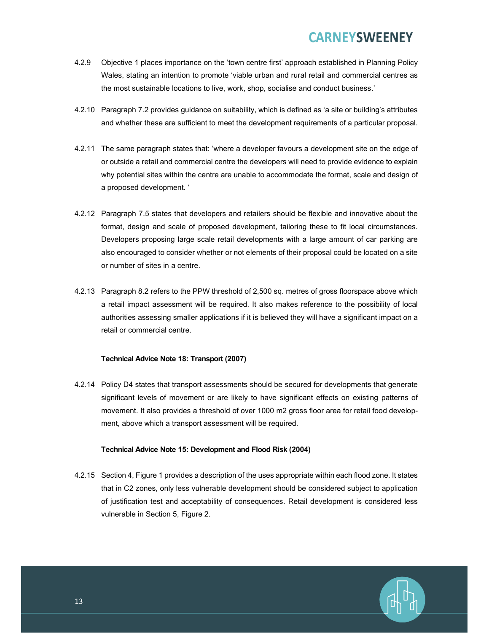- 4.2.9 Objective 1 places importance on the 'town centre first' approach established in Planning Policy Wales, stating an intention to promote 'viable urban and rural retail and commercial centres as the most sustainable locations to live, work, shop, socialise and conduct business.'
- 4.2.10 Paragraph 7.2 provides guidance on suitability, which is defined as 'a site or building's attributes and whether these are sufficient to meet the development requirements of a particular proposal.
- 4.2.11 The same paragraph states that: 'where a developer favours a development site on the edge of or outside a retail and commercial centre the developers will need to provide evidence to explain why potential sites within the centre are unable to accommodate the format, scale and design of a proposed development. '
- 4.2.12 Paragraph 7.5 states that developers and retailers should be flexible and innovative about the format, design and scale of proposed development, tailoring these to fit local circumstances. Developers proposing large scale retail developments with a large amount of car parking are also encouraged to consider whether or not elements of their proposal could be located on a site or number of sites in a centre.
- 4.2.13 Paragraph 8.2 refers to the PPW threshold of 2,500 sq. metres of gross floorspace above which a retail impact assessment will be required. It also makes reference to the possibility of local authorities assessing smaller applications if it is believed they will have a significant impact on a retail or commercial centre.

#### Technical Advice Note 18: Transport (2007)

4.2.14 Policy D4 states that transport assessments should be secured for developments that generate significant levels of movement or are likely to have significant effects on existing patterns of movement. It also provides a threshold of over 1000 m2 gross floor area for retail food development, above which a transport assessment will be required.

#### Technical Advice Note 15: Development and Flood Risk (2004)

4.2.15 Section 4, Figure 1 provides a description of the uses appropriate within each flood zone. It states that in C2 zones, only less vulnerable development should be considered subject to application of justification test and acceptability of consequences. Retail development is considered less vulnerable in Section 5, Figure 2.

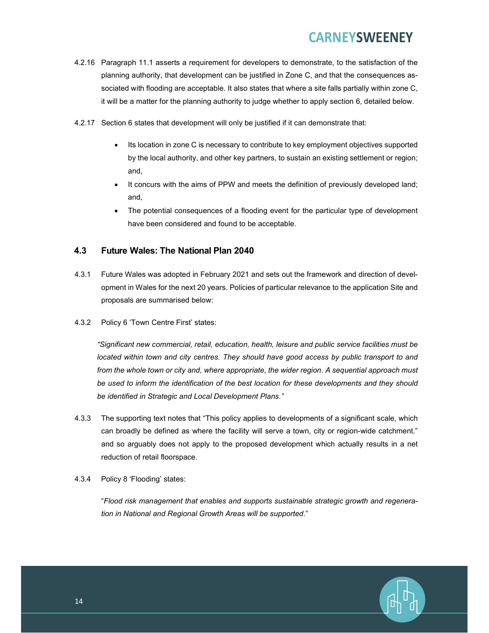- 4.2.16 Paragraph 11.1 asserts a requirement for developers to demonstrate, to the satisfaction of the planning authority, that development can be justified in Zone C, and that the consequences associated with flooding are acceptable. It also states that where a site falls partially within zone C, it will be a matter for the planning authority to judge whether to apply section 6, detailed below.
- 4.2.17 Section 6 states that development will only be justified if it can demonstrate that:
	- Its location in zone C is necessary to contribute to key employment objectives supported by the local authority, and other key partners, to sustain an existing settlement or region; and,
	- It concurs with the aims of PPW and meets the definition of previously developed land; and,
	- The potential consequences of a flooding event for the particular type of development have been considered and found to be acceptable.

#### 4.3 Future Wales: The National Plan 2040

- 4.3.1 Future Wales was adopted in February 2021 and sets out the framework and direction of development in Wales for the next 20 years. Policies of particular relevance to the application Site and proposals are summarised below:
- 4.3.2 Policy 6 'Town Centre First' states:

"Significant new commercial, retail, education, health, leisure and public service facilities must be located within town and city centres. They should have good access by public transport to and from the whole town or city and, where appropriate, the wider region. A sequential approach must be used to inform the identification of the best location for these developments and they should be identified in Strategic and Local Development Plans."

- 4.3.3 The supporting text notes that "This policy applies to developments of a significant scale, which can broadly be defined as where the facility will serve a town, city or region-wide catchment." and so arguably does not apply to the proposed development which actually results in a net reduction of retail floorspace.
- 4.3.4 Policy 8 'Flooding' states:

"Flood risk management that enables and supports sustainable strategic growth and regeneration in National and Regional Growth Areas will be supported."

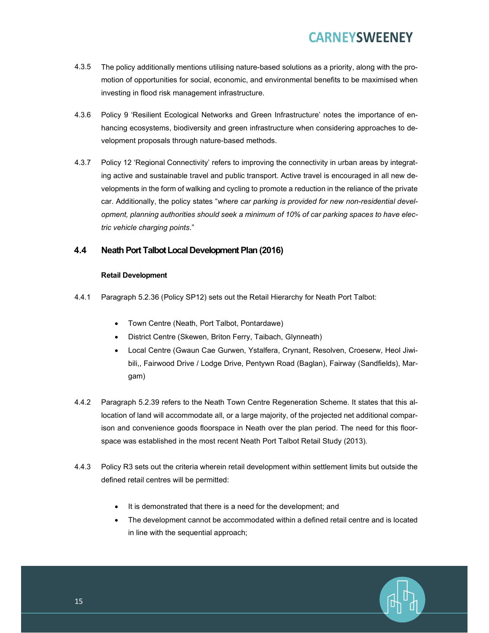- 4.3.5 The policy additionally mentions utilising nature-based solutions as a priority, along with the promotion of opportunities for social, economic, and environmental benefits to be maximised when investing in flood risk management infrastructure.
- 4.3.6 Policy 9 'Resilient Ecological Networks and Green Infrastructure' notes the importance of enhancing ecosystems, biodiversity and green infrastructure when considering approaches to development proposals through nature-based methods.
- 4.3.7 Policy 12 'Regional Connectivity' refers to improving the connectivity in urban areas by integrating active and sustainable travel and public transport. Active travel is encouraged in all new developments in the form of walking and cycling to promote a reduction in the reliance of the private car. Additionally, the policy states "where car parking is provided for new non-residential development, planning authorities should seek a minimum of 10% of car parking spaces to have electric vehicle charging points."

#### 4.4 Neath Port Talbot Local Development Plan (2016)

#### Retail Development

- 4.4.1 Paragraph 5.2.36 (Policy SP12) sets out the Retail Hierarchy for Neath Port Talbot:
	- Town Centre (Neath, Port Talbot, Pontardawe)
	- District Centre (Skewen, Briton Ferry, Taibach, Glynneath)
	- Local Centre (Gwaun Cae Gurwen, Ystalfera, Crynant, Resolven, Croeserw, Heol Jiwibili,, Fairwood Drive / Lodge Drive, Pentywn Road (Baglan), Fairway (Sandfields), Margam)
- 4.4.2 Paragraph 5.2.39 refers to the Neath Town Centre Regeneration Scheme. It states that this allocation of land will accommodate all, or a large majority, of the projected net additional comparison and convenience goods floorspace in Neath over the plan period. The need for this floorspace was established in the most recent Neath Port Talbot Retail Study (2013).
- 4.4.3 Policy R3 sets out the criteria wherein retail development within settlement limits but outside the defined retail centres will be permitted:
	- It is demonstrated that there is a need for the development; and
	- The development cannot be accommodated within a defined retail centre and is located in line with the sequential approach;

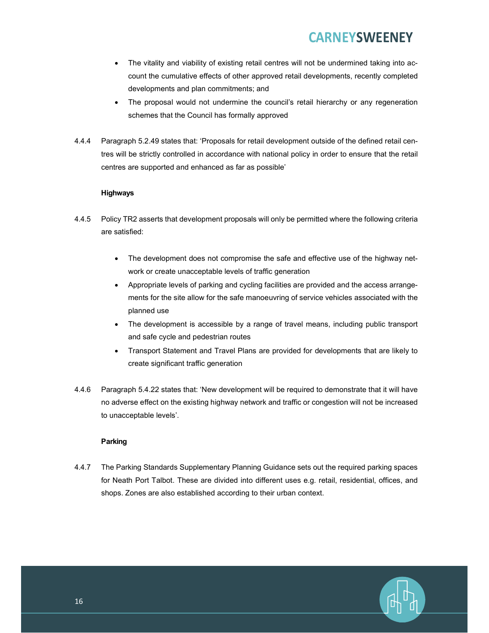- The vitality and viability of existing retail centres will not be undermined taking into account the cumulative effects of other approved retail developments, recently completed developments and plan commitments; and
- The proposal would not undermine the council's retail hierarchy or any regeneration schemes that the Council has formally approved
- 4.4.4 Paragraph 5.2.49 states that: 'Proposals for retail development outside of the defined retail centres will be strictly controlled in accordance with national policy in order to ensure that the retail centres are supported and enhanced as far as possible'

#### **Highways**

- 4.4.5 Policy TR2 asserts that development proposals will only be permitted where the following criteria are satisfied:
	- The development does not compromise the safe and effective use of the highway network or create unacceptable levels of traffic generation
	- Appropriate levels of parking and cycling facilities are provided and the access arrangements for the site allow for the safe manoeuvring of service vehicles associated with the planned use
	- The development is accessible by a range of travel means, including public transport and safe cycle and pedestrian routes
	- Transport Statement and Travel Plans are provided for developments that are likely to create significant traffic generation
- 4.4.6 Paragraph 5.4.22 states that: 'New development will be required to demonstrate that it will have no adverse effect on the existing highway network and traffic or congestion will not be increased to unacceptable levels'.

#### Parking

4.4.7 The Parking Standards Supplementary Planning Guidance sets out the required parking spaces for Neath Port Talbot. These are divided into different uses e.g. retail, residential, offices, and shops. Zones are also established according to their urban context.

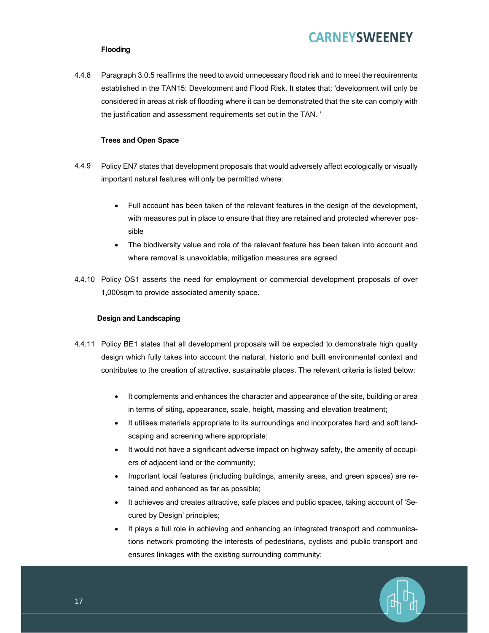#### Flooding

4.4.8 Paragraph 3.0.5 reaffirms the need to avoid unnecessary flood risk and to meet the requirements established in the TAN15: Development and Flood Risk. It states that: 'development will only be considered in areas at risk of flooding where it can be demonstrated that the site can comply with the justification and assessment requirements set out in the TAN. '

#### Trees and Open Space

- 4.4.9 Policy EN7 states that development proposals that would adversely affect ecologically or visually important natural features will only be permitted where:
	- Full account has been taken of the relevant features in the design of the development, with measures put in place to ensure that they are retained and protected wherever possible
	- The biodiversity value and role of the relevant feature has been taken into account and where removal is unavoidable, mitigation measures are agreed
- 4.4.10 Policy OS1 asserts the need for employment or commercial development proposals of over 1,000sqm to provide associated amenity space.

#### Design and Landscaping

- 4.4.11 Policy BE1 states that all development proposals will be expected to demonstrate high quality design which fully takes into account the natural, historic and built environmental context and contributes to the creation of attractive, sustainable places. The relevant criteria is listed below:
	- It complements and enhances the character and appearance of the site, building or area in terms of siting, appearance, scale, height, massing and elevation treatment;
	- It utilises materials appropriate to its surroundings and incorporates hard and soft landscaping and screening where appropriate;
	- It would not have a significant adverse impact on highway safety, the amenity of occupiers of adjacent land or the community;
	- Important local features (including buildings, amenity areas, and green spaces) are retained and enhanced as far as possible;
	- It achieves and creates attractive, safe places and public spaces, taking account of 'Secured by Design' principles;
	- It plays a full role in achieving and enhancing an integrated transport and communications network promoting the interests of pedestrians, cyclists and public transport and ensures linkages with the existing surrounding community;

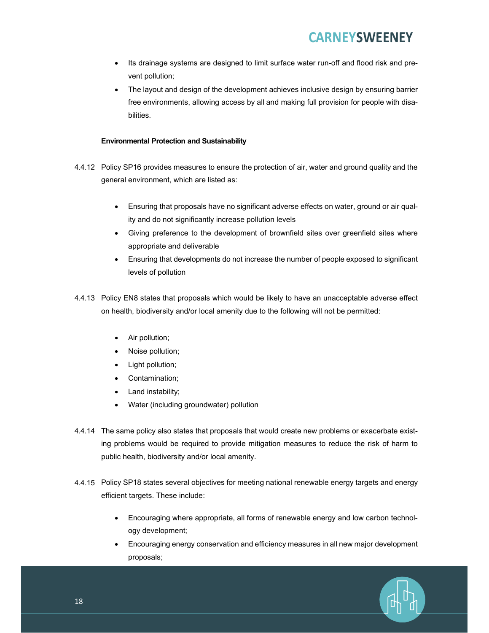- Its drainage systems are designed to limit surface water run-off and flood risk and prevent pollution;
- The layout and design of the development achieves inclusive design by ensuring barrier free environments, allowing access by all and making full provision for people with disabilities.

#### Environmental Protection and Sustainability

- 4.4.12 Policy SP16 provides measures to ensure the protection of air, water and ground quality and the general environment, which are listed as:
	- Ensuring that proposals have no significant adverse effects on water, ground or air quality and do not significantly increase pollution levels
	- Giving preference to the development of brownfield sites over greenfield sites where appropriate and deliverable
	- Ensuring that developments do not increase the number of people exposed to significant levels of pollution
- 4.4.13 Policy EN8 states that proposals which would be likely to have an unacceptable adverse effect on health, biodiversity and/or local amenity due to the following will not be permitted:
	- Air pollution;
	- Noise pollution;
	- Light pollution;
	- Contamination;
	- Land instability;
	- Water (including groundwater) pollution
- 4.4.14 The same policy also states that proposals that would create new problems or exacerbate existing problems would be required to provide mitigation measures to reduce the risk of harm to public health, biodiversity and/or local amenity.
- 4.4.15 Policy SP18 states several objectives for meeting national renewable energy targets and energy efficient targets. These include:
	- Encouraging where appropriate, all forms of renewable energy and low carbon technology development;
	- Encouraging energy conservation and efficiency measures in all new major development proposals;

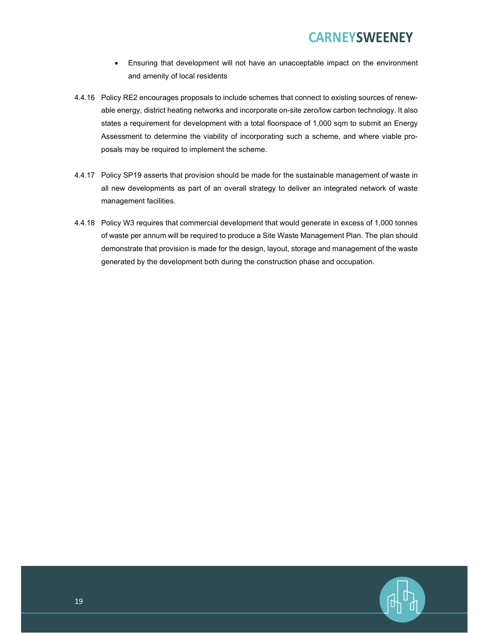- Ensuring that development will not have an unacceptable impact on the environment and amenity of local residents
- 4.4.16 Policy RE2 encourages proposals to include schemes that connect to existing sources of renewable energy, district heating networks and incorporate on-site zero/low carbon technology. It also states a requirement for development with a total floorspace of 1,000 sqm to submit an Energy Assessment to determine the viability of incorporating such a scheme, and where viable proposals may be required to implement the scheme.
- 4.4.17 Policy SP19 asserts that provision should be made for the sustainable management of waste in all new developments as part of an overall strategy to deliver an integrated network of waste management facilities.
- 4.4.18 Policy W3 requires that commercial development that would generate in excess of 1,000 tonnes of waste per annum will be required to produce a Site Waste Management Plan. The plan should demonstrate that provision is made for the design, layout, storage and management of the waste generated by the development both during the construction phase and occupation.

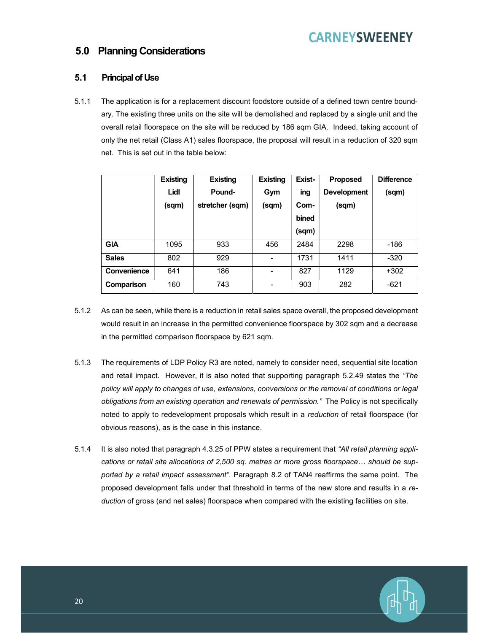### 5.0 Planning Considerations

#### 5.1 Principal of Use

5.1.1 The application is for a replacement discount foodstore outside of a defined town centre boundary. The existing three units on the site will be demolished and replaced by a single unit and the overall retail floorspace on the site will be reduced by 186 sqm GIA. Indeed, taking account of only the net retail (Class A1) sales floorspace, the proposal will result in a reduction of 320 sqm net. This is set out in the table below:

|              | <b>Existing</b> | <b>Existing</b> | <b>Existing</b> | Exist- | <b>Proposed</b>    | <b>Difference</b> |
|--------------|-----------------|-----------------|-----------------|--------|--------------------|-------------------|
|              | Lidl            | Pound-          | Gym             | ing    | <b>Development</b> | (sqm)             |
|              | (sqm)           | stretcher (sqm) | (sqm)           | Com-   | (sqm)              |                   |
|              |                 |                 |                 | bined  |                    |                   |
|              |                 |                 |                 | (sqm)  |                    |                   |
| <b>GIA</b>   | 1095            | 933             | 456             | 2484   | 2298               | $-186$            |
| <b>Sales</b> | 802             | 929             | -               | 1731   | 1411               | $-320$            |
| Convenience  | 641             | 186             | -               | 827    | 1129               | $+302$            |
| Comparison   | 160             | 743             |                 | 903    | 282                | $-621$            |

- 5.1.2 As can be seen, while there is a reduction in retail sales space overall, the proposed development would result in an increase in the permitted convenience floorspace by 302 sqm and a decrease in the permitted comparison floorspace by 621 sqm.
- 5.1.3 The requirements of LDP Policy R3 are noted, namely to consider need, sequential site location and retail impact. However, it is also noted that supporting paragraph 5.2.49 states the "The policy will apply to changes of use, extensions, conversions or the removal of conditions or legal obligations from an existing operation and renewals of permission." The Policy is not specifically noted to apply to redevelopment proposals which result in a reduction of retail floorspace (for obvious reasons), as is the case in this instance.
- 5.1.4 It is also noted that paragraph 4.3.25 of PPW states a requirement that "All retail planning applications or retail site allocations of 2,500 sq. metres or more gross floorspace… should be supported by a retail impact assessment". Paragraph 8.2 of TAN4 reaffirms the same point. The proposed development falls under that threshold in terms of the new store and results in a reduction of gross (and net sales) floorspace when compared with the existing facilities on site.

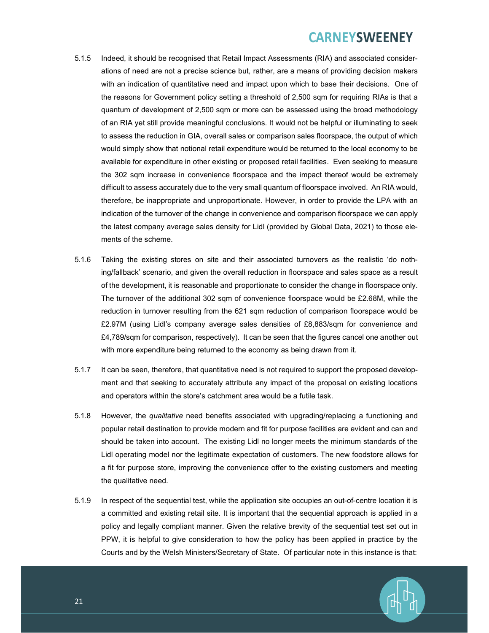- 5.1.5 Indeed, it should be recognised that Retail Impact Assessments (RIA) and associated considerations of need are not a precise science but, rather, are a means of providing decision makers with an indication of quantitative need and impact upon which to base their decisions. One of the reasons for Government policy setting a threshold of 2,500 sqm for requiring RIAs is that a quantum of development of 2,500 sqm or more can be assessed using the broad methodology of an RIA yet still provide meaningful conclusions. It would not be helpful or illuminating to seek to assess the reduction in GIA, overall sales or comparison sales floorspace, the output of which would simply show that notional retail expenditure would be returned to the local economy to be available for expenditure in other existing or proposed retail facilities. Even seeking to measure the 302 sqm increase in convenience floorspace and the impact thereof would be extremely difficult to assess accurately due to the very small quantum of floorspace involved. An RIA would, therefore, be inappropriate and unproportionate. However, in order to provide the LPA with an indication of the turnover of the change in convenience and comparison floorspace we can apply the latest company average sales density for Lidl (provided by Global Data, 2021) to those elements of the scheme.
- 5.1.6 Taking the existing stores on site and their associated turnovers as the realistic 'do nothing/fallback' scenario, and given the overall reduction in floorspace and sales space as a result of the development, it is reasonable and proportionate to consider the change in floorspace only. The turnover of the additional 302 sqm of convenience floorspace would be £2.68M, while the reduction in turnover resulting from the 621 sqm reduction of comparison floorspace would be £2.97M (using Lidl's company average sales densities of £8,883/sqm for convenience and £4,789/sqm for comparison, respectively). It can be seen that the figures cancel one another out with more expenditure being returned to the economy as being drawn from it.
- 5.1.7 It can be seen, therefore, that quantitative need is not required to support the proposed development and that seeking to accurately attribute any impact of the proposal on existing locations and operators within the store's catchment area would be a futile task.
- 5.1.8 However, the qualitative need benefits associated with upgrading/replacing a functioning and popular retail destination to provide modern and fit for purpose facilities are evident and can and should be taken into account. The existing Lidl no longer meets the minimum standards of the Lidl operating model nor the legitimate expectation of customers. The new foodstore allows for a fit for purpose store, improving the convenience offer to the existing customers and meeting the qualitative need.
- 5.1.9 In respect of the sequential test, while the application site occupies an out-of-centre location it is a committed and existing retail site. It is important that the sequential approach is applied in a policy and legally compliant manner. Given the relative brevity of the sequential test set out in PPW, it is helpful to give consideration to how the policy has been applied in practice by the Courts and by the Welsh Ministers/Secretary of State. Of particular note in this instance is that:

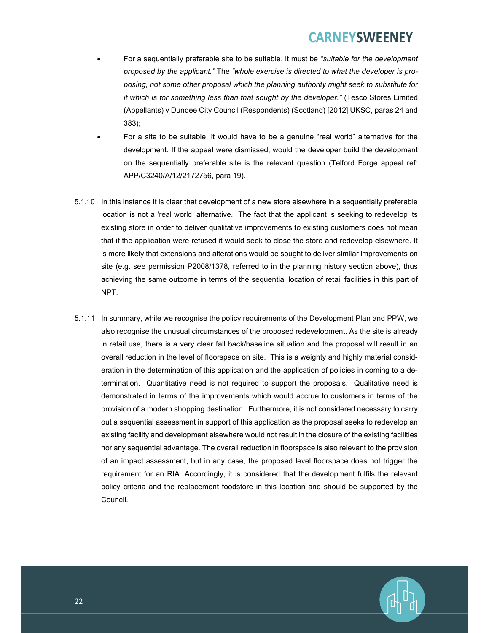- For a sequentially preferable site to be suitable, it must be "suitable for the development proposed by the applicant." The "whole exercise is directed to what the developer is proposing, not some other proposal which the planning authority might seek to substitute for it which is for something less than that sought by the developer." (Tesco Stores Limited (Appellants) v Dundee City Council (Respondents) (Scotland) [2012] UKSC, paras 24 and 383);
- For a site to be suitable, it would have to be a genuine "real world" alternative for the development. If the appeal were dismissed, would the developer build the development on the sequentially preferable site is the relevant question (Telford Forge appeal ref: APP/C3240/A/12/2172756, para 19).
- 5.1.10 In this instance it is clear that development of a new store elsewhere in a sequentially preferable location is not a 'real world' alternative. The fact that the applicant is seeking to redevelop its existing store in order to deliver qualitative improvements to existing customers does not mean that if the application were refused it would seek to close the store and redevelop elsewhere. It is more likely that extensions and alterations would be sought to deliver similar improvements on site (e.g. see permission P2008/1378, referred to in the planning history section above), thus achieving the same outcome in terms of the sequential location of retail facilities in this part of NPT.
- 5.1.11 In summary, while we recognise the policy requirements of the Development Plan and PPW, we also recognise the unusual circumstances of the proposed redevelopment. As the site is already in retail use, there is a very clear fall back/baseline situation and the proposal will result in an overall reduction in the level of floorspace on site. This is a weighty and highly material consideration in the determination of this application and the application of policies in coming to a determination. Quantitative need is not required to support the proposals. Qualitative need is demonstrated in terms of the improvements which would accrue to customers in terms of the provision of a modern shopping destination. Furthermore, it is not considered necessary to carry out a sequential assessment in support of this application as the proposal seeks to redevelop an existing facility and development elsewhere would not result in the closure of the existing facilities nor any sequential advantage. The overall reduction in floorspace is also relevant to the provision of an impact assessment, but in any case, the proposed level floorspace does not trigger the requirement for an RIA. Accordingly, it is considered that the development fulfils the relevant policy criteria and the replacement foodstore in this location and should be supported by the Council.

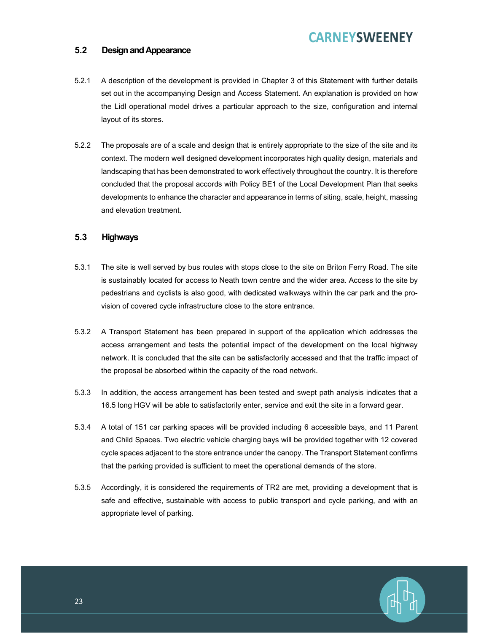### 5.2 Design and Appearance

- 5.2.1 A description of the development is provided in Chapter 3 of this Statement with further details set out in the accompanying Design and Access Statement. An explanation is provided on how the Lidl operational model drives a particular approach to the size, configuration and internal layout of its stores.
- 5.2.2 The proposals are of a scale and design that is entirely appropriate to the size of the site and its context. The modern well designed development incorporates high quality design, materials and landscaping that has been demonstrated to work effectively throughout the country. It is therefore concluded that the proposal accords with Policy BE1 of the Local Development Plan that seeks developments to enhance the character and appearance in terms of siting, scale, height, massing and elevation treatment.

### 5.3 Highways

- 5.3.1 The site is well served by bus routes with stops close to the site on Briton Ferry Road. The site is sustainably located for access to Neath town centre and the wider area. Access to the site by pedestrians and cyclists is also good, with dedicated walkways within the car park and the provision of covered cycle infrastructure close to the store entrance.
- 5.3.2 A Transport Statement has been prepared in support of the application which addresses the access arrangement and tests the potential impact of the development on the local highway network. It is concluded that the site can be satisfactorily accessed and that the traffic impact of the proposal be absorbed within the capacity of the road network.
- 5.3.3 In addition, the access arrangement has been tested and swept path analysis indicates that a 16.5 long HGV will be able to satisfactorily enter, service and exit the site in a forward gear.
- 5.3.4 A total of 151 car parking spaces will be provided including 6 accessible bays, and 11 Parent and Child Spaces. Two electric vehicle charging bays will be provided together with 12 covered cycle spaces adjacent to the store entrance under the canopy. The Transport Statement confirms that the parking provided is sufficient to meet the operational demands of the store.
- 5.3.5 Accordingly, it is considered the requirements of TR2 are met, providing a development that is safe and effective, sustainable with access to public transport and cycle parking, and with an appropriate level of parking.

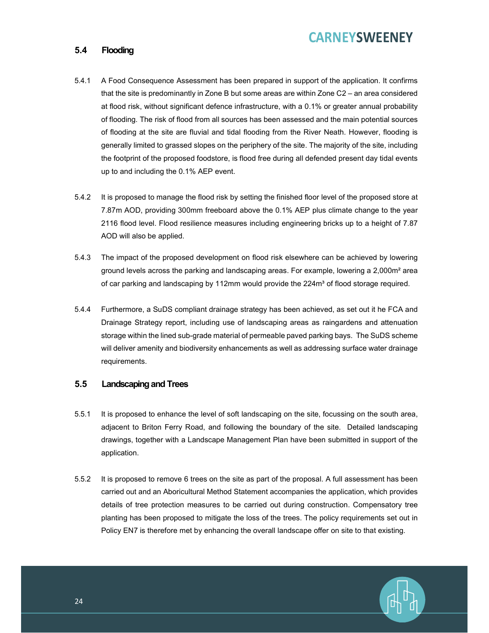### 5.4 Flooding

- 5.4.1 A Food Consequence Assessment has been prepared in support of the application. It confirms that the site is predominantly in Zone B but some areas are within Zone C2 – an area considered at flood risk, without significant defence infrastructure, with a 0.1% or greater annual probability of flooding. The risk of flood from all sources has been assessed and the main potential sources of flooding at the site are fluvial and tidal flooding from the River Neath. However, flooding is generally limited to grassed slopes on the periphery of the site. The majority of the site, including the footprint of the proposed foodstore, is flood free during all defended present day tidal events up to and including the 0.1% AEP event.
- 5.4.2 It is proposed to manage the flood risk by setting the finished floor level of the proposed store at 7.87m AOD, providing 300mm freeboard above the 0.1% AEP plus climate change to the year 2116 flood level. Flood resilience measures including engineering bricks up to a height of 7.87 AOD will also be applied.
- 5.4.3 The impact of the proposed development on flood risk elsewhere can be achieved by lowering ground levels across the parking and landscaping areas. For example, lowering a 2,000m² area of car parking and landscaping by 112mm would provide the 224m<sup>3</sup> of flood storage required.
- 5.4.4 Furthermore, a SuDS compliant drainage strategy has been achieved, as set out it he FCA and Drainage Strategy report, including use of landscaping areas as raingardens and attenuation storage within the lined sub-grade material of permeable paved parking bays. The SuDS scheme will deliver amenity and biodiversity enhancements as well as addressing surface water drainage requirements.

### 5.5 Landscaping and Trees

- 5.5.1 It is proposed to enhance the level of soft landscaping on the site, focussing on the south area, adjacent to Briton Ferry Road, and following the boundary of the site. Detailed landscaping drawings, together with a Landscape Management Plan have been submitted in support of the application.
- 5.5.2 It is proposed to remove 6 trees on the site as part of the proposal. A full assessment has been carried out and an Aboricultural Method Statement accompanies the application, which provides details of tree protection measures to be carried out during construction. Compensatory tree planting has been proposed to mitigate the loss of the trees. The policy requirements set out in Policy EN7 is therefore met by enhancing the overall landscape offer on site to that existing.

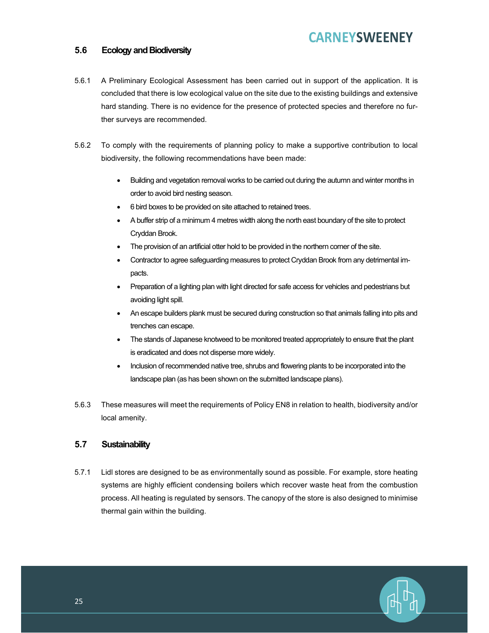### 5.6 Ecology and Biodiversity

- 5.6.1 A Preliminary Ecological Assessment has been carried out in support of the application. It is concluded that there is low ecological value on the site due to the existing buildings and extensive hard standing. There is no evidence for the presence of protected species and therefore no further surveys are recommended.
- 5.6.2 To comply with the requirements of planning policy to make a supportive contribution to local biodiversity, the following recommendations have been made:
	- Building and vegetation removal works to be carried out during the autumn and winter months in order to avoid bird nesting season.
	- 6 bird boxes to be provided on site attached to retained trees.
	- A buffer strip of a minimum 4 metres width along the north east boundary of the site to protect Cryddan Brook.
	- The provision of an artificial otter hold to be provided in the northern corner of the site.
	- Contractor to agree safeguarding measures to protect Cryddan Brook from any detrimental impacts.
	- Preparation of a lighting plan with light directed for safe access for vehicles and pedestrians but avoiding light spill.
	- An escape builders plank must be secured during construction so that animals falling into pits and trenches can escape.
	- The stands of Japanese knotweed to be monitored treated appropriately to ensure that the plant is eradicated and does not disperse more widely.
	- Inclusion of recommended native tree, shrubs and flowering plants to be incorporated into the landscape plan (as has been shown on the submitted landscape plans).
- 5.6.3 These measures will meet the requirements of Policy EN8 in relation to health, biodiversity and/or local amenity.

### 5.7 Sustainability

5.7.1 Lidl stores are designed to be as environmentally sound as possible. For example, store heating systems are highly efficient condensing boilers which recover waste heat from the combustion process. All heating is regulated by sensors. The canopy of the store is also designed to minimise thermal gain within the building.

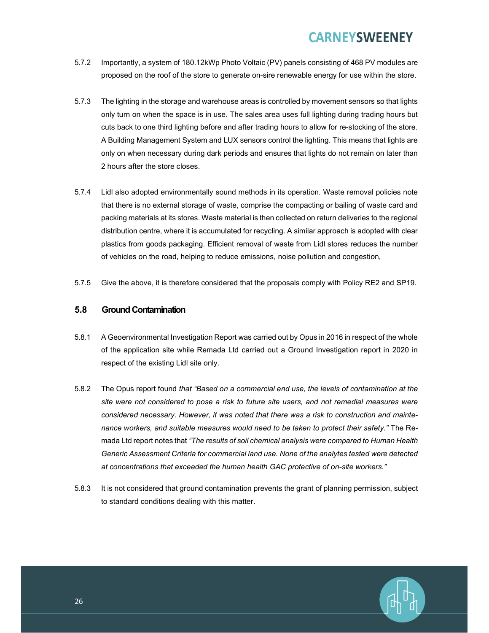- 5.7.2 Importantly, a system of 180.12kWp Photo Voltaic (PV) panels consisting of 468 PV modules are proposed on the roof of the store to generate on-sire renewable energy for use within the store.
- 5.7.3 The lighting in the storage and warehouse areas is controlled by movement sensors so that lights only turn on when the space is in use. The sales area uses full lighting during trading hours but cuts back to one third lighting before and after trading hours to allow for re-stocking of the store. A Building Management System and LUX sensors control the lighting. This means that lights are only on when necessary during dark periods and ensures that lights do not remain on later than 2 hours after the store closes.
- 5.7.4 Lidl also adopted environmentally sound methods in its operation. Waste removal policies note that there is no external storage of waste, comprise the compacting or bailing of waste card and packing materials at its stores. Waste material is then collected on return deliveries to the regional distribution centre, where it is accumulated for recycling. A similar approach is adopted with clear plastics from goods packaging. Efficient removal of waste from Lidl stores reduces the number of vehicles on the road, helping to reduce emissions, noise pollution and congestion,
- 5.7.5 Give the above, it is therefore considered that the proposals comply with Policy RE2 and SP19.

#### 5.8 Ground Contamination

- 5.8.1 A Geoenvironmental Investigation Report was carried out by Opus in 2016 in respect of the whole of the application site while Remada Ltd carried out a Ground Investigation report in 2020 in respect of the existing Lidl site only.
- 5.8.2 The Opus report found that "Based on a commercial end use, the levels of contamination at the site were not considered to pose a risk to future site users, and not remedial measures were considered necessary. However, it was noted that there was a risk to construction and maintenance workers, and suitable measures would need to be taken to protect their safety." The Remada Ltd report notes that "The results of soil chemical analysis were compared to Human Health Generic Assessment Criteria for commercial land use. None of the analytes tested were detected at concentrations that exceeded the human health GAC protective of on-site workers."
- 5.8.3 It is not considered that ground contamination prevents the grant of planning permission, subject to standard conditions dealing with this matter.

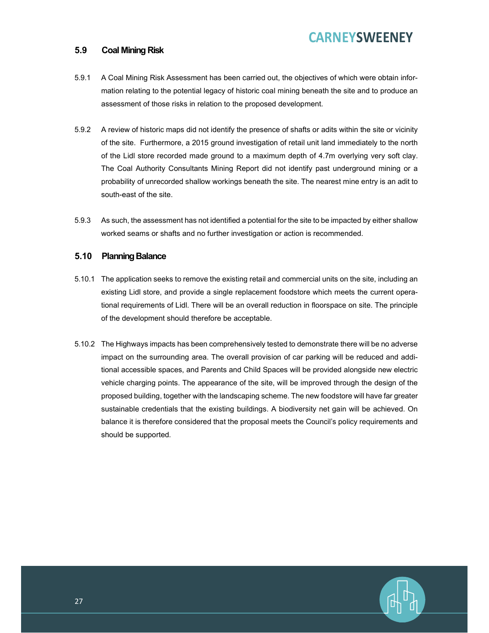#### 5.9 Coal Mining Risk

- 5.9.1 A Coal Mining Risk Assessment has been carried out, the objectives of which were obtain information relating to the potential legacy of historic coal mining beneath the site and to produce an assessment of those risks in relation to the proposed development.
- 5.9.2 A review of historic maps did not identify the presence of shafts or adits within the site or vicinity of the site. Furthermore, a 2015 ground investigation of retail unit land immediately to the north of the Lidl store recorded made ground to a maximum depth of 4.7m overlying very soft clay. The Coal Authority Consultants Mining Report did not identify past underground mining or a probability of unrecorded shallow workings beneath the site. The nearest mine entry is an adit to south-east of the site.
- 5.9.3 As such, the assessment has not identified a potential for the site to be impacted by either shallow worked seams or shafts and no further investigation or action is recommended.

#### 5.10 Planning Balance

- 5.10.1 The application seeks to remove the existing retail and commercial units on the site, including an existing Lidl store, and provide a single replacement foodstore which meets the current operational requirements of Lidl. There will be an overall reduction in floorspace on site. The principle of the development should therefore be acceptable.
- 5.10.2 The Highways impacts has been comprehensively tested to demonstrate there will be no adverse impact on the surrounding area. The overall provision of car parking will be reduced and additional accessible spaces, and Parents and Child Spaces will be provided alongside new electric vehicle charging points. The appearance of the site, will be improved through the design of the proposed building, together with the landscaping scheme. The new foodstore will have far greater sustainable credentials that the existing buildings. A biodiversity net gain will be achieved. On balance it is therefore considered that the proposal meets the Council's policy requirements and should be supported.